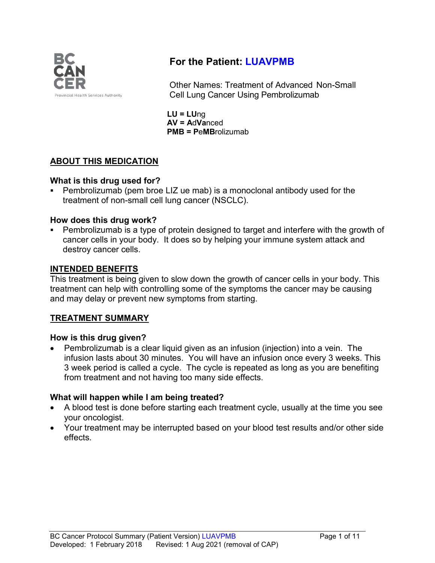

# **For the Patient: LUAVPMB**

Other Names: Treatment of Advanced Non-Small Cell Lung Cancer Using Pembrolizumab

**LU = LU**ng **AV = A**d**Va**nced **PMB = P**e**MB**rolizumab

# **ABOUT THIS MEDICATION**

## **What is this drug used for?**

 Pembrolizumab (pem broe LIZ ue mab) is a monoclonal antibody used for the treatment of non-small cell lung cancer (NSCLC).

## **How does this drug work?**

 Pembrolizumab is a type of protein designed to target and interfere with the growth of cancer cells in your body. It does so by helping your immune system attack and destroy cancer cells.

## **INTENDED BENEFITS**

This treatment is being given to slow down the growth of cancer cells in your body. This treatment can help with controlling some of the symptoms the cancer may be causing and may delay or prevent new symptoms from starting.

## **TREATMENT SUMMARY**

## **How is this drug given?**

• Pembrolizumab is a clear liquid given as an infusion (injection) into a vein. The infusion lasts about 30 minutes. You will have an infusion once every 3 weeks. This 3 week period is called a cycle. The cycle is repeated as long as you are benefiting from treatment and not having too many side effects.

## **What will happen while I am being treated?**

- A blood test is done before starting each treatment cycle, usually at the time you see your oncologist.
- Your treatment may be interrupted based on your blood test results and/or other side effects.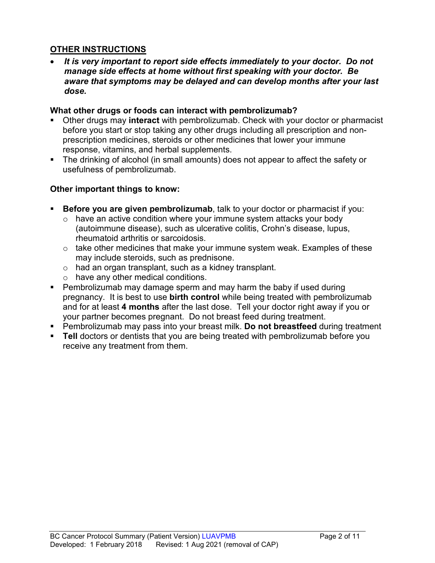## **OTHER INSTRUCTIONS**

• *It is very important to report side effects immediately to your doctor. Do not manage side effects at home without first speaking with your doctor. Be aware that symptoms may be delayed and can develop months after your last dose.*

#### **What other drugs or foods can interact with pembrolizumab?**

- Other drugs may **interact** with pembrolizumab. Check with your doctor or pharmacist before you start or stop taking any other drugs including all prescription and nonprescription medicines, steroids or other medicines that lower your immune response, vitamins, and herbal supplements.
- The drinking of alcohol (in small amounts) does not appear to affect the safety or usefulness of pembrolizumab.

## **Other important things to know:**

- **Before you are given pembrolizumab**, talk to your doctor or pharmacist if you:
	- $\circ$  have an active condition where your immune system attacks your body (autoimmune disease), such as ulcerative colitis, Crohn's disease, lupus, rheumatoid arthritis or sarcoidosis.
	- $\circ$  take other medicines that make your immune system weak. Examples of these may include steroids, such as prednisone.
	- o had an organ transplant, such as a kidney transplant.
	- o have any other medical conditions.
- Pembrolizumab may damage sperm and may harm the baby if used during pregnancy. It is best to use **birth control** while being treated with pembrolizumab and for at least **4 months** after the last dose. Tell your doctor right away if you or your partner becomes pregnant. Do not breast feed during treatment.
- Pembrolizumab may pass into your breast milk. **Do not breastfeed** during treatment
- **Tell** doctors or dentists that you are being treated with pembrolizumab before you receive any treatment from them.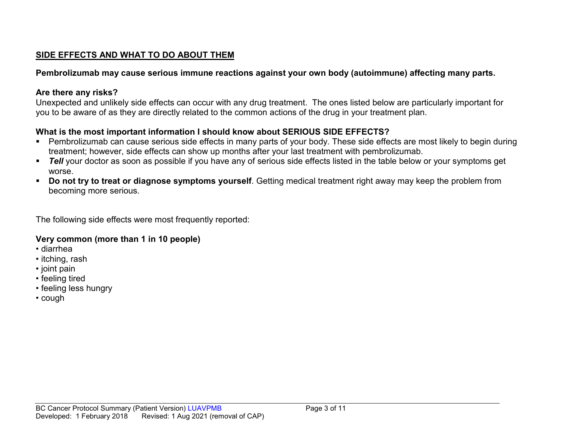# **SIDE EFFECTS AND WHAT TO DO ABOUT THEM**

## **Pembrolizumab may cause serious immune reactions against your own body (autoimmune) affecting many parts.**

## **Are there any risks?**

Unexpected and unlikely side effects can occur with any drug treatment. The ones listed below are particularly important for you to be aware of as they are directly related to the common actions of the drug in your treatment plan.

# **What is the most important information I should know about SERIOUS SIDE EFFECTS?**

- Pembrolizumab can cause serious side effects in many parts of your body. These side effects are most likely to begin during treatment; however, side effects can show up months after your last treatment with pembrolizumab.
- **Tell** your doctor as soon as possible if you have any of serious side effects listed in the table below or your symptoms get worse.
- **Do not try to treat or diagnose symptoms yourself**. Getting medical treatment right away may keep the problem from becoming more serious.

The following side effects were most frequently reported:

## **Very common (more than 1 in 10 people)**

- diarrhea
- itching, rash
- joint pain
- feeling tired
- feeling less hungry
- cough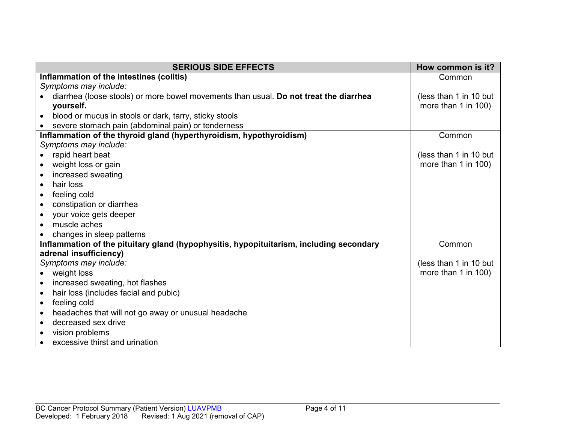| <b>SERIOUS SIDE EFFECTS</b>                                                             | How common is it?        |
|-----------------------------------------------------------------------------------------|--------------------------|
| Inflammation of the intestines (colitis)                                                | Common                   |
| Symptoms may include:                                                                   |                          |
| diarrhea (loose stools) or more bowel movements than usual. Do not treat the diarrhea   | (less than 1 in 10 but   |
| yourself.                                                                               | more than 1 in 100)      |
| blood or mucus in stools or dark, tarry, sticky stools<br>$\bullet$                     |                          |
| severe stomach pain (abdominal pain) or tenderness                                      |                          |
| Inflammation of the thyroid gland (hyperthyroidism, hypothyroidism)                     | Common                   |
| Symptoms may include:                                                                   |                          |
| rapid heart beat                                                                        | (less than 1 in 10 but   |
| weight loss or gain<br>$\bullet$                                                        | more than 1 in 100)      |
| increased sweating                                                                      |                          |
| hair loss<br>$\bullet$                                                                  |                          |
| feeling cold<br>$\bullet$                                                               |                          |
| constipation or diarrhea<br>$\bullet$                                                   |                          |
| your voice gets deeper<br>$\bullet$                                                     |                          |
| muscle aches                                                                            |                          |
| changes in sleep patterns                                                               |                          |
| Inflammation of the pituitary gland (hypophysitis, hypopituitarism, including secondary | Common                   |
| adrenal insufficiency)                                                                  |                          |
| Symptoms may include:                                                                   | (less than 1 in 10 but   |
| weight loss<br>$\bullet$                                                                | more than $1$ in $100$ ) |
| increased sweating, hot flashes                                                         |                          |
| hair loss (includes facial and pubic)<br>$\bullet$                                      |                          |
| feeling cold<br>$\bullet$                                                               |                          |
| headaches that will not go away or unusual headache<br>$\bullet$                        |                          |
| decreased sex drive<br>$\bullet$                                                        |                          |
| vision problems                                                                         |                          |
| excessive thirst and urination<br>$\bullet$                                             |                          |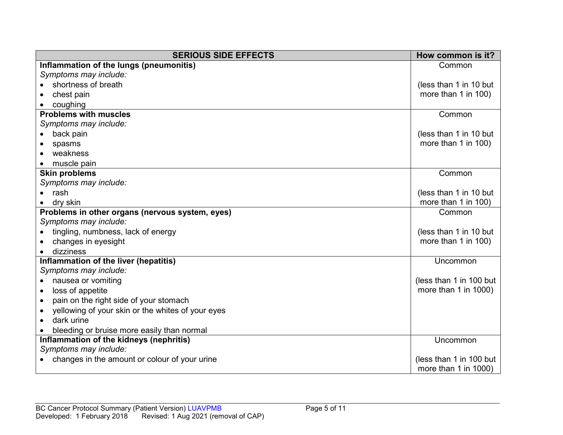| <b>SERIOUS SIDE EFFECTS</b>                                    | How common is it?       |
|----------------------------------------------------------------|-------------------------|
| Inflammation of the lungs (pneumonitis)                        | Common                  |
| Symptoms may include:                                          |                         |
| shortness of breath                                            | (less than 1 in 10 but  |
| chest pain                                                     | more than 1 in 100)     |
| coughing                                                       |                         |
| <b>Problems with muscles</b>                                   | Common                  |
| Symptoms may include:                                          |                         |
| back pain                                                      | (less than 1 in 10 but  |
| spasms                                                         | more than 1 in 100)     |
| weakness                                                       |                         |
| muscle pain                                                    |                         |
| <b>Skin problems</b>                                           | Common                  |
| Symptoms may include:                                          |                         |
| rash                                                           | (less than 1 in 10 but  |
| dry skin                                                       | more than 1 in 100)     |
| Problems in other organs (nervous system, eyes)                | Common                  |
| Symptoms may include:                                          |                         |
| tingling, numbness, lack of energy                             | (less than 1 in 10 but  |
| changes in eyesight                                            | more than 1 in 100)     |
| dizziness                                                      |                         |
| Inflammation of the liver (hepatitis)                          | Uncommon                |
| Symptoms may include:                                          |                         |
| nausea or vomiting                                             | (less than 1 in 100 but |
| loss of appetite<br>$\bullet$                                  | more than 1 in 1000)    |
| pain on the right side of your stomach<br>$\bullet$            |                         |
| yellowing of your skin or the whites of your eyes<br>$\bullet$ |                         |
| dark urine<br>$\bullet$                                        |                         |
| bleeding or bruise more easily than normal                     |                         |
| Inflammation of the kidneys (nephritis)                        | Uncommon                |
| Symptoms may include:                                          |                         |
| changes in the amount or colour of your urine                  | (less than 1 in 100 but |
|                                                                | more than 1 in 1000)    |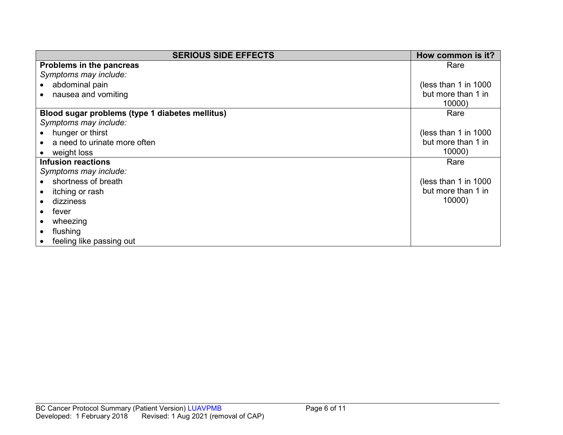| <b>SERIOUS SIDE EFFECTS</b>                     | How common is it?      |
|-------------------------------------------------|------------------------|
| Problems in the pancreas                        | Rare                   |
| Symptoms may include:                           |                        |
| abdominal pain                                  | (less than 1 in $1000$ |
| nausea and vomiting                             | but more than 1 in     |
|                                                 | 10000)                 |
| Blood sugar problems (type 1 diabetes mellitus) | Rare                   |
| Symptoms may include:                           |                        |
| hunger or thirst                                | (less than 1 in $1000$ |
| a need to urinate more often                    | but more than 1 in     |
| weight loss                                     | 10000)                 |
| <b>Infusion reactions</b>                       | Rare                   |
| Symptoms may include:                           |                        |
| shortness of breath                             | (less than 1 in $1000$ |
| itching or rash                                 | but more than 1 in     |
| dizziness                                       | 10000)                 |
| fever                                           |                        |
| wheezing                                        |                        |
| flushing                                        |                        |
| feeling like passing out                        |                        |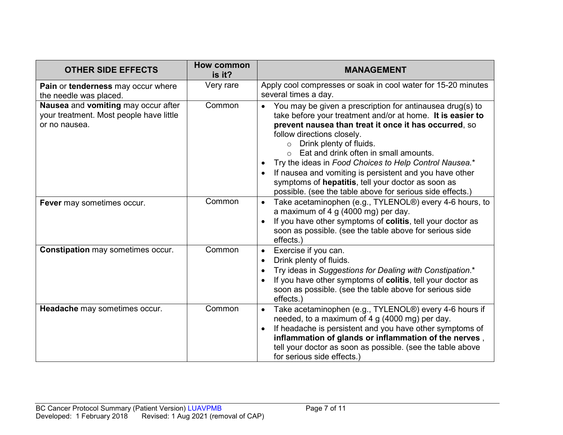| <b>OTHER SIDE EFFECTS</b>                                                                       | How common<br>is it? | <b>MANAGEMENT</b>                                                                                                                                                                                                                                                                                                                                                                                                                                                                                                                                  |
|-------------------------------------------------------------------------------------------------|----------------------|----------------------------------------------------------------------------------------------------------------------------------------------------------------------------------------------------------------------------------------------------------------------------------------------------------------------------------------------------------------------------------------------------------------------------------------------------------------------------------------------------------------------------------------------------|
| Pain or tenderness may occur where<br>the needle was placed.                                    | Very rare            | Apply cool compresses or soak in cool water for 15-20 minutes<br>several times a day.                                                                                                                                                                                                                                                                                                                                                                                                                                                              |
| Nausea and vomiting may occur after<br>your treatment. Most people have little<br>or no nausea. | Common               | You may be given a prescription for antinausea drug(s) to<br>$\bullet$<br>take before your treatment and/or at home. It is easier to<br>prevent nausea than treat it once it has occurred, so<br>follow directions closely.<br>Drink plenty of fluids.<br>$\circ$<br>Eat and drink often in small amounts.<br>Try the ideas in Food Choices to Help Control Nausea.*<br>If nausea and vomiting is persistent and you have other<br>symptoms of hepatitis, tell your doctor as soon as<br>possible. (see the table above for serious side effects.) |
| Fever may sometimes occur.                                                                      | Common               | Take acetaminophen (e.g., TYLENOL®) every 4-6 hours, to<br>$\bullet$<br>a maximum of 4 g (4000 mg) per day.<br>If you have other symptoms of colitis, tell your doctor as<br>soon as possible. (see the table above for serious side<br>effects.)                                                                                                                                                                                                                                                                                                  |
| <b>Constipation may sometimes occur.</b>                                                        | Common               | Exercise if you can.<br>$\bullet$<br>Drink plenty of fluids.<br>Try ideas in Suggestions for Dealing with Constipation.*<br>If you have other symptoms of colitis, tell your doctor as<br>soon as possible. (see the table above for serious side<br>effects.)                                                                                                                                                                                                                                                                                     |
| Headache may sometimes occur.                                                                   | Common               | Take acetaminophen (e.g., TYLENOL®) every 4-6 hours if<br>$\bullet$<br>needed, to a maximum of 4 g (4000 mg) per day.<br>If headache is persistent and you have other symptoms of<br>inflammation of glands or inflammation of the nerves,<br>tell your doctor as soon as possible. (see the table above<br>for serious side effects.)                                                                                                                                                                                                             |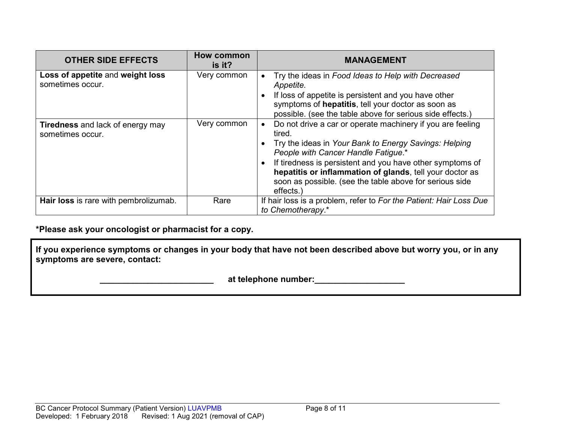| <b>OTHER SIDE EFFECTS</b>                                   | <b>How common</b><br>is it? | <b>MANAGEMENT</b>                                                                                                                                                                                                                                                                                                                                                    |
|-------------------------------------------------------------|-----------------------------|----------------------------------------------------------------------------------------------------------------------------------------------------------------------------------------------------------------------------------------------------------------------------------------------------------------------------------------------------------------------|
| Loss of appetite and weight loss<br>sometimes occur.        | Very common                 | Try the ideas in Food Ideas to Help with Decreased<br>Appetite.<br>If loss of appetite is persistent and you have other<br>symptoms of hepatitis, tell your doctor as soon as<br>possible. (see the table above for serious side effects.)                                                                                                                           |
| <b>Tiredness</b> and lack of energy may<br>sometimes occur. | Very common                 | Do not drive a car or operate machinery if you are feeling<br>tired.<br>Try the ideas in Your Bank to Energy Savings: Helping<br>People with Cancer Handle Fatigue.*<br>If tiredness is persistent and you have other symptoms of<br>hepatitis or inflammation of glands, tell your doctor as<br>soon as possible. (see the table above for serious side<br>effects. |
| Hair loss is rare with pembrolizumab.                       | Rare                        | If hair loss is a problem, refer to For the Patient: Hair Loss Due<br>to Chemotherapy.*                                                                                                                                                                                                                                                                              |

**\*Please ask your oncologist or pharmacist for a copy.**

**If you experience symptoms or changes in your body that have not been described above but worry you, or in any symptoms are severe, contact:**

 **\_\_\_\_\_\_\_\_\_\_\_\_\_\_\_\_\_\_\_\_\_\_\_\_ at telephone number:\_\_\_\_\_\_\_\_\_\_\_\_\_\_\_\_\_\_\_**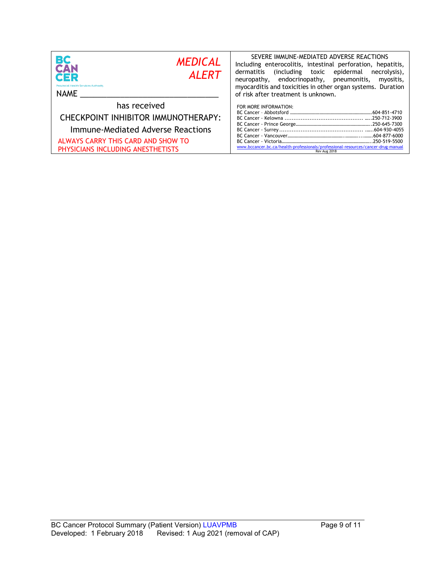| BC<br><b>MEDICAL</b><br><b>CAN</b><br><b>ALERT</b><br>CER<br><b>Provincial Health Services Authority</b><br><b>NAME</b>                                             | SEVERE IMMUNE-MEDIATED ADVERSE REACTIONS<br>Including enterocolitis, intestinal perforation, hepatitis,<br>dermatitis<br>including toxic epidermal)<br>necrolysis),<br>neuropathy, endocrinopathy, pneumonitis,<br>myositis,<br>myocarditis and toxicities in other organ systems. Duration<br>of risk after treatment is unknown. |
|---------------------------------------------------------------------------------------------------------------------------------------------------------------------|------------------------------------------------------------------------------------------------------------------------------------------------------------------------------------------------------------------------------------------------------------------------------------------------------------------------------------|
| has received<br>CHECKPOINT INHIBITOR IMMUNOTHERAPY:<br>Immune-Mediated Adverse Reactions<br>ALWAYS CARRY THIS CARD AND SHOW TO<br>PHYSICIANS INCLUDING ANESTHETISTS | FOR MORE INFORMATION:<br>www.bccancer.bc.ca/health-professionals/professional-resources/cancer-drug-manual<br>Rev Aug 2018                                                                                                                                                                                                         |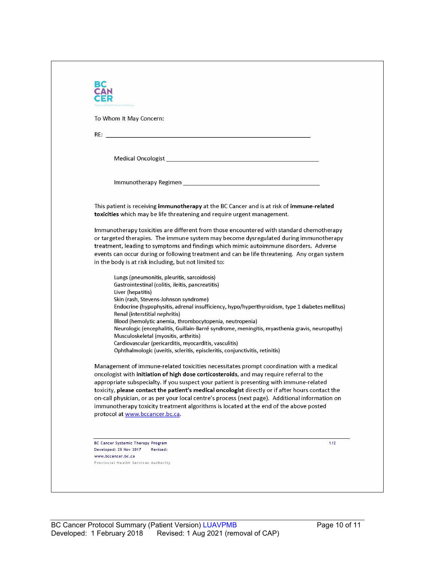| To Whom It May Concern:                                                                                                                                                                             |     |
|-----------------------------------------------------------------------------------------------------------------------------------------------------------------------------------------------------|-----|
|                                                                                                                                                                                                     |     |
|                                                                                                                                                                                                     |     |
|                                                                                                                                                                                                     |     |
|                                                                                                                                                                                                     |     |
|                                                                                                                                                                                                     |     |
|                                                                                                                                                                                                     |     |
| This patient is receiving <b>immunotherapy</b> at the BC Cancer and is at risk of <b>immune-related</b><br>toxicities which may be life threatening and require urgent management.                  |     |
| Immunotherapy toxicities are different from those encountered with standard chemotherapy                                                                                                            |     |
| or targeted therapies. The immune system may become dysregulated during immunotherapy                                                                                                               |     |
| treatment, leading to symptoms and findings which mimic autoimmune disorders. Adverse<br>events can occur during or following treatment and can be life threatening. Any organ system               |     |
| in the body is at risk including, but not limited to:                                                                                                                                               |     |
| Lungs (pneumonitis, pleuritis, sarcoidosis)                                                                                                                                                         |     |
| Gastrointestinal (colitis, ileitis, pancreatitis)                                                                                                                                                   |     |
| Liver (hepatitis)                                                                                                                                                                                   |     |
| Skin (rash, Stevens-Johnson syndrome)<br>Endocrine (hypophysitis, adrenal insufficiency, hypo/hyperthyroidism, type 1 diabetes mellitus)                                                            |     |
| Renal (interstitial nephritis)                                                                                                                                                                      |     |
| Blood (hemolytic anemia, thrombocytopenia, neutropenia)                                                                                                                                             |     |
| Neurologic (encephalitis, Guillain-Barré syndrome, meningitis, myasthenia gravis, neuropathy)                                                                                                       |     |
| Musculoskeletal (myositis, arthritis)<br>Cardiovascular (pericarditis, myocarditis, vasculitis)                                                                                                     |     |
| Ophthalmologic (uveitis, scleritis, episcleritis, conjunctivitis, retinitis)                                                                                                                        |     |
| Management of immune-related toxicities necessitates prompt coordination with a medical                                                                                                             |     |
| oncologist with initiation of high dose corticosteroids, and may require referral to the                                                                                                            |     |
| appropriate subspecialty. If you suspect your patient is presenting with immune-related                                                                                                             |     |
| toxicity, please contact the patient's medical oncologist directly or if after hours contact the<br>on-call physician, or as per your local centre's process (next page). Additional information on |     |
| immunotherapy toxicity treatment algorithms is located at the end of the above posted                                                                                                               |     |
| protocol at www.bccancer.bc.ca.                                                                                                                                                                     |     |
|                                                                                                                                                                                                     |     |
| BC Cancer Systemic Therapy Program                                                                                                                                                                  | 1/2 |
| Developed: 28 Nov 2017<br>Revised:                                                                                                                                                                  |     |
| www.bccancer.bc.ca<br>Provincial Health Services Authority                                                                                                                                          |     |